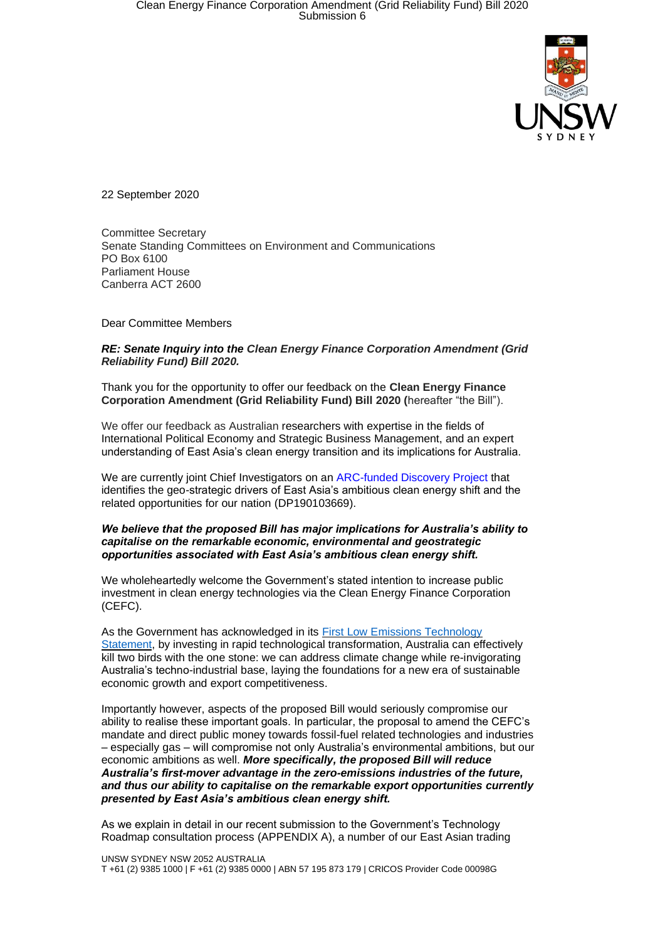

22 September 2020

Committee Secretary Senate Standing Committees on Environment and Communications PO Box 6100 Parliament House Canberra ACT 2600

Dear Committee Members

### *RE: Senate Inquiry into the Clean Energy Finance Corporation Amendment (Grid Reliability Fund) Bill 2020.*

Thank you for the opportunity to offer our feedback on the **Clean Energy Finance Corporation Amendment (Grid Reliability Fund) Bill 2020 (**hereafter "the Bill").

We offer our feedback as Australian researchers with expertise in the fields of International Political Economy and Strategic Business Management, and an expert understanding of East Asia's clean energy transition and its implications for Australia.

We are currently joint Chief Investigators on an [ARC-funded Discovery Project](https://www.dev-env.org/) that identifies the geo-strategic drivers of East Asia's ambitious clean energy shift and the related opportunities for our nation (DP190103669).

#### *We believe that the proposed Bill has major implications for Australia's ability to capitalise on the remarkable economic, environmental and geostrategic opportunities associated with East Asia's ambitious clean energy shift.*

We wholeheartedly welcome the Government's stated intention to increase public investment in clean energy technologies via the Clean Energy Finance Corporation (CEFC).

As the Government has acknowledged in its [First Low Emissions Technology](https://www.industry.gov.au/sites/default/files/September%202020/document/first-low-emissions-technology-statement-2020.pdf)  [Statement,](https://www.industry.gov.au/sites/default/files/September%202020/document/first-low-emissions-technology-statement-2020.pdf) by investing in rapid technological transformation, Australia can effectively kill two birds with the one stone: we can address climate change while re-invigorating Australia's techno-industrial base, laying the foundations for a new era of sustainable economic growth and export competitiveness.

Importantly however, aspects of the proposed Bill would seriously compromise our ability to realise these important goals. In particular, the proposal to amend the CEFC's mandate and direct public money towards fossil-fuel related technologies and industries – especially gas – will compromise not only Australia's environmental ambitions, but our economic ambitions as well. *More specifically, the proposed Bill will reduce Australia's first-mover advantage in the zero-emissions industries of the future, and thus our ability to capitalise on the remarkable export opportunities currently presented by East Asia's ambitious clean energy shift.* 

As we explain in detail in our recent submission to the Government's Technology Roadmap consultation process (APPENDIX A), a number of our East Asian trading

UNSW SYDNEY NSW 2052 AUSTRALIA T +61 (2) 9385 1000 | F +61 (2) 9385 0000 | ABN 57 195 873 179 | CRICOS Provider Code 00098G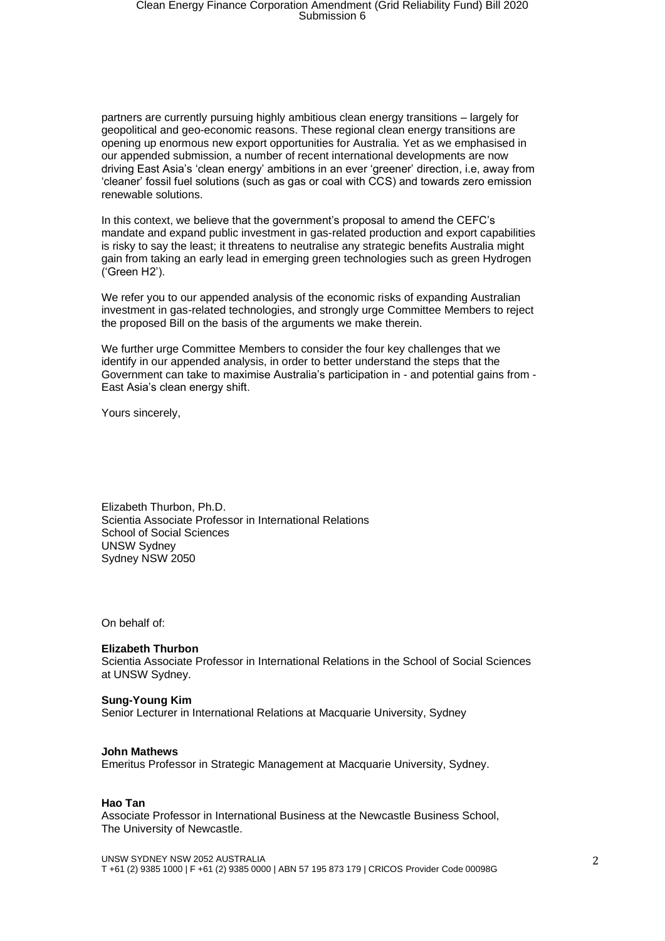partners are currently pursuing highly ambitious clean energy transitions – largely for geopolitical and geo-economic reasons. These regional clean energy transitions are opening up enormous new export opportunities for Australia. Yet as we emphasised in our appended submission, a number of recent international developments are now driving East Asia's 'clean energy' ambitions in an ever 'greener' direction, i.e, away from 'cleaner' fossil fuel solutions (such as gas or coal with CCS) and towards zero emission renewable solutions.

In this context, we believe that the government's proposal to amend the CEFC's mandate and expand public investment in gas-related production and export capabilities is risky to say the least; it threatens to neutralise any strategic benefits Australia might gain from taking an early lead in emerging green technologies such as green Hydrogen ('Green H2').

We refer you to our appended analysis of the economic risks of expanding Australian investment in gas-related technologies, and strongly urge Committee Members to reject the proposed Bill on the basis of the arguments we make therein.

We further urge Committee Members to consider the four key challenges that we identify in our appended analysis, in order to better understand the steps that the Government can take to maximise Australia's participation in - and potential gains from - East Asia's clean energy shift.

Yours sincerely,

Elizabeth Thurbon, Ph.D. Scientia Associate Professor in International Relations School of Social Sciences UNSW Sydney Sydney NSW 2050

On behalf of:

### **Elizabeth Thurbon**

Scientia Associate Professor in International Relations in the School of Social Sciences at UNSW Sydney.

### **Sung-Young Kim**

Senior Lecturer in International Relations at Macquarie University, Sydney

### **John Mathews**

Emeritus Professor in Strategic Management at Macquarie University, Sydney.

### **Hao Tan**

Associate Professor in International Business at the Newcastle Business School, The University of Newcastle.

UNSW SYDNEY NSW 2052 AUSTRALIA T +61 (2) 9385 1000 | F +61 (2) 9385 0000 | ABN 57 195 873 179 | CRICOS Provider Code 00098G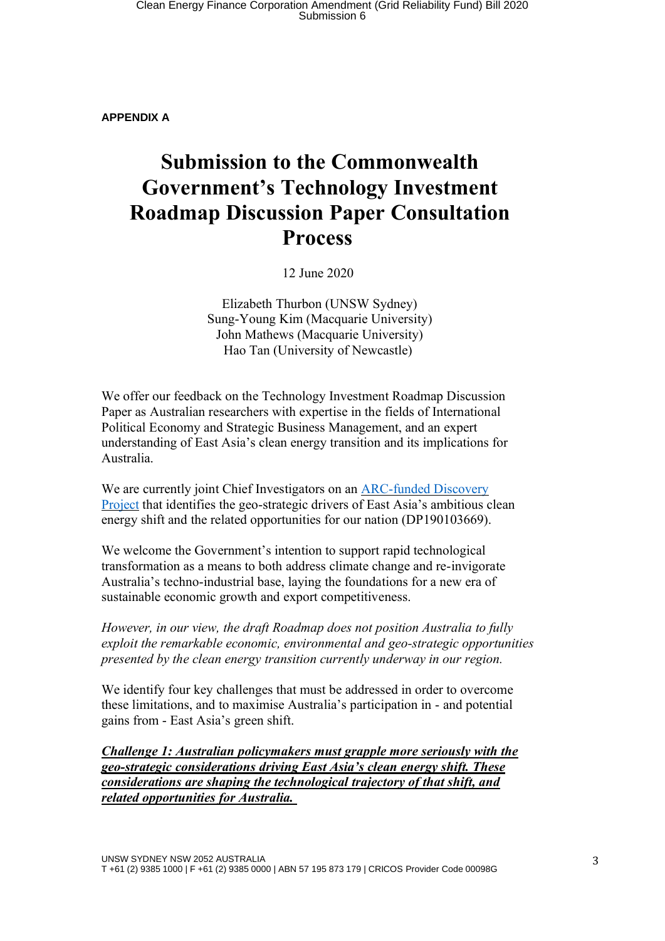**APPENDIX A**

# **Submission to the Commonwealth Government's Technology Investment Roadmap Discussion Paper Consultation Process**

12 June 2020

Elizabeth Thurbon (UNSW Sydney) Sung-Young Kim (Macquarie University) John Mathews (Macquarie University) Hao Tan (University of Newcastle)

We offer our feedback on the Technology Investment Roadmap Discussion Paper as Australian researchers with expertise in the fields of International Political Economy and Strategic Business Management, and an expert understanding of East Asia's clean energy transition and its implications for Australia.

We are currently joint Chief Investigators on an [ARC-funded](https://www.dev-env.org/) Discovery [Project](https://www.dev-env.org/) that identifies the geo-strategic drivers of East Asia's ambitious clean energy shift and the related opportunities for our nation (DP190103669).

We welcome the Government's intention to support rapid technological transformation as a means to both address climate change and re-invigorate Australia's techno-industrial base, laying the foundations for a new era of sustainable economic growth and export competitiveness.

*However, in our view, the draft Roadmap does not position Australia to fully exploit the remarkable economic, environmental and geo-strategic opportunities presented by the clean energy transition currently underway in our region.*

We identify four key challenges that must be addressed in order to overcome these limitations, and to maximise Australia's participation in - and potential gains from - East Asia's green shift.

*Challenge 1: Australian policymakers must grapple more seriously with the geo-strategic considerations driving East Asia's clean energy shift. These considerations are shaping the technological trajectory of that shift, and related opportunities for Australia.*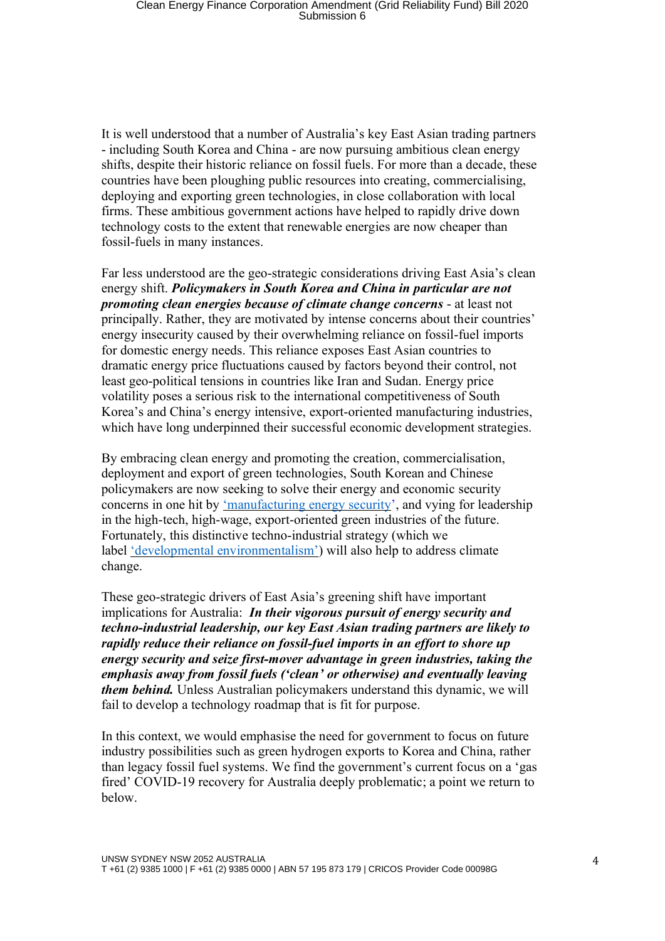It is well understood that a number of Australia's key East Asian trading partners - including South Korea and China - are now pursuing ambitious clean energy shifts, despite their historic reliance on fossil fuels. For more than a decade, these countries have been ploughing public resources into creating, commercialising, deploying and exporting green technologies, in close collaboration with local firms. These ambitious government actions have helped to rapidly drive down technology costs to the extent that renewable energies are now cheaper than fossil-fuels in many instances.

Far less understood are the geo-strategic considerations driving East Asia's clean energy shift. *Policymakers in South Korea and China in particular are not promoting clean energies because of climate change concerns* - at least not principally. Rather, they are motivated by intense concerns about their countries' energy insecurity caused by their overwhelming reliance on fossil-fuel imports for domestic energy needs. This reliance exposes East Asian countries to dramatic energy price fluctuations caused by factors beyond their control, not least geo-political tensions in countries like Iran and Sudan. Energy price volatility poses a serious risk to the international competitiveness of South Korea's and China's energy intensive, export-oriented manufacturing industries, which have long underpinned their successful economic development strategies.

By embracing clean energy and promoting the creation, commercialisation, deployment and export of green technologies, South Korean and Chinese policymakers are now seeking to solve their energy and economic security concerns in one hit by ['manufacturing](https://www.nature.com/news/economics-manufacture-renewables-to-build-energy-security-1.15847) energy security', and vying for leadership in the high-tech, high-wage, export-oriented green industries of the future. Fortunately, this distinctive techno-industrial strategy (which we label 'developmental [environmentalism'](https://journals.sagepub.com/doi/abs/10.1177/0032329215571287?journalCode=pasa&)) will also help to address climate change.

These geo-strategic drivers of East Asia's greening shift have important implications for Australia: *In their vigorous pursuit of energy security and techno-industrial leadership, our key East Asian trading partners are likely to rapidly reduce their reliance on fossil-fuel imports in an effort to shore up energy security and seize first-mover advantage in green industries, taking the emphasis away from fossil fuels ('clean' or otherwise) and eventually leaving them behind.* Unless Australian policymakers understand this dynamic, we will fail to develop a technology roadmap that is fit for purpose.

In this context, we would emphasise the need for government to focus on future industry possibilities such as green hydrogen exports to Korea and China, rather than legacy fossil fuel systems. We find the government's current focus on a 'gas fired' COVID-19 recovery for Australia deeply problematic; a point we return to below.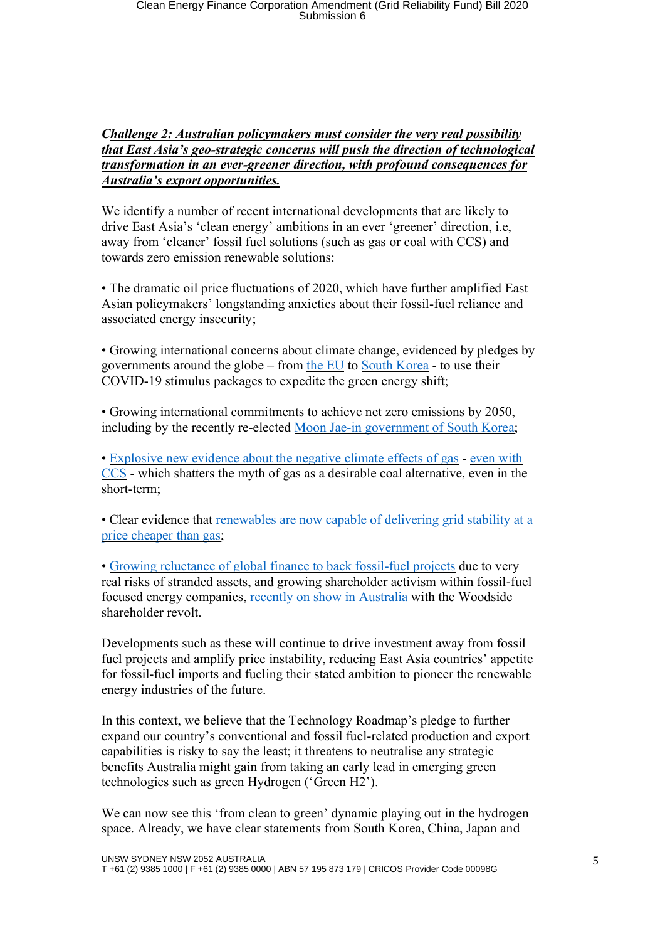## *Challenge 2: Australian policymakers must consider the very real possibility that East Asia's geo-strategic concerns will push the direction of technological transformation in an ever-greener direction, with profound consequences for Australia's export opportunities.*

We identify a number of recent international developments that are likely to drive East Asia's 'clean energy' ambitions in an ever 'greener' direction, i.e, away from 'cleaner' fossil fuel solutions (such as gas or coal with CCS) and towards zero emission renewable solutions:

• The dramatic oil price fluctuations of 2020, which have further amplified East Asian policymakers' longstanding anxieties about their fossil-fuel reliance and associated energy insecurity;

• Growing international concerns about climate change, evidenced by pledges by governments around the globe – from the [EU](https://www.reuters.com/article/us-eu-budget-recovery-climate-factbox/factbox-key-climate-spending-in-eus-green-recovery-plan-idUSKBN2331RB) to South [Korea](https://asia.nikkei.com/Opinion/South-Korea-is-using-coronavirus-stimulus-to-green-the-economy) - to use their COVID-19 stimulus packages to expedite the green energy shift;

• Growing international commitments to achieve net zero emissions by 2050, including by the recently re-elected Moon Jae-in [government](https://www.forbes.com/sites/davidrvetter/2020/04/16/south-korea-embraces-eu-style-green-deal-for-covid-19-recovery/#349444595611) of South Korea;

• [Explosive](https://www.nationalgeographic.com/science/2020/02/super-potent-methane-in-atmosphere-oil-gas-drilling-ice-cores/) new evidence about the negative climate effects of gas - [even](https://web.stanford.edu/group/efmh/jacobson/Articles/I/NatGasVsWWS&coal.pdf) with [CCS](https://web.stanford.edu/group/efmh/jacobson/Articles/I/NatGasVsWWS&coal.pdf) - which shatters the myth of gas as a desirable coal alternative, even in the short-term;

• Clear evidence that [renewables](https://arstechnica.com/information-technology/2019/03/florida-utility-to-close-natural-gas-plants-build-massive-solar-powered-battery/) are now capable of delivering grid stability at a price [cheaper](https://arstechnica.com/information-technology/2019/03/florida-utility-to-close-natural-gas-plants-build-massive-solar-powered-battery/) than gas;

• Growing [reluctance](https://www.eesi.org/articles/view/the-financial-sector-is-waking-up-to-climate-change) of global finance to back fossil-fuel projects due to very real risks of stranded assets, and growing shareholder activism within fossil-fuel focused energy companies, recently on show in [Australia](https://www.smh.com.au/business/companies/breakthrough-moment-woodside-investors-revolt-on-climate-change-20200429-p54oe8.html) with the Woodside shareholder revolt.

Developments such as these will continue to drive investment away from fossil fuel projects and amplify price instability, reducing East Asia countries' appetite for fossil-fuel imports and fueling their stated ambition to pioneer the renewable energy industries of the future.

In this context, we believe that the Technology Roadmap's pledge to further expand our country's conventional and fossil fuel-related production and export capabilities is risky to say the least; it threatens to neutralise any strategic benefits Australia might gain from taking an early lead in emerging green technologies such as green Hydrogen ('Green H2').

We can now see this 'from clean to green' dynamic playing out in the hydrogen space. Already, we have clear statements from South Korea, China, Japan and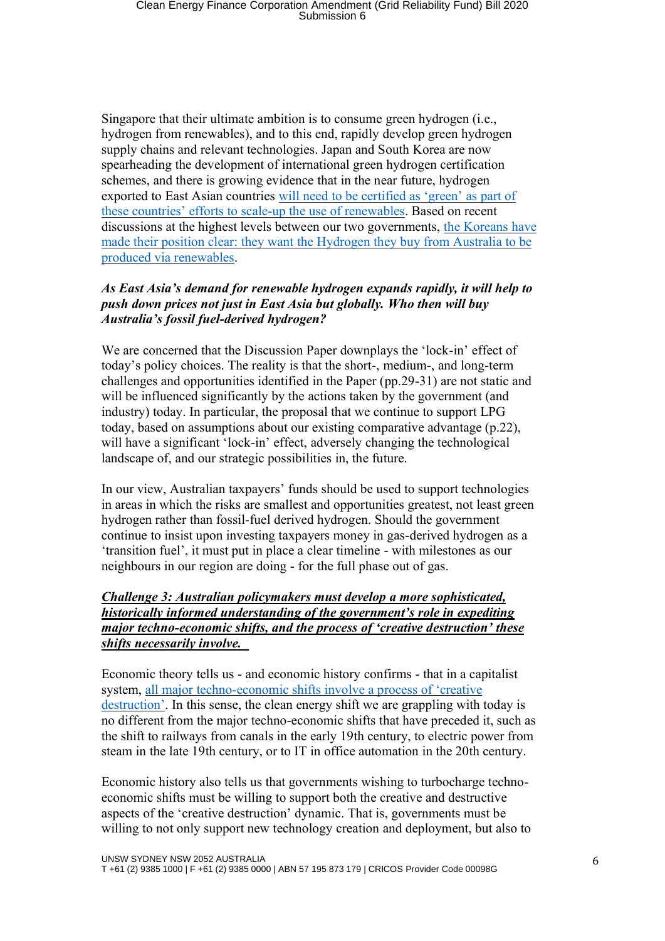Singapore that their ultimate ambition is to consume green hydrogen (i.e., hydrogen from renewables), and to this end, rapidly develop green hydrogen supply chains and relevant technologies. Japan and South Korea are now spearheading the development of international green hydrogen certification schemes, and there is growing evidence that in the near future, hydrogen exported to East Asian countries will need to be [certified](https://www.tandfonline.com/doi/full/10.1080/13563467.2020.1755245) as 'green' as part of these countries' efforts to scale-up the use of [renewables.](https://www.tandfonline.com/doi/full/10.1080/13563467.2020.1755245) Based on recent discussions at the highest levels between our two governments, the [Koreans](https://www.atse.org.au/wp-content/uploads/2020/04/ATSE-NAEK-Workshop-outcomes-200420.pdf) have made their position clear: they want the [Hydrogen](https://www.atse.org.au/wp-content/uploads/2020/04/ATSE-NAEK-Workshop-outcomes-200420.pdf) they buy from Australia to be produced via [renewables.](https://www.atse.org.au/wp-content/uploads/2020/04/ATSE-NAEK-Workshop-outcomes-200420.pdf)

## *As East Asia's demand for renewable hydrogen expands rapidly, it will help to push down prices not just in East Asia but globally. Who then will buy Australia's fossil fuel-derived hydrogen?*

We are concerned that the Discussion Paper downplays the 'lock-in' effect of today's policy choices. The reality is that the short-, medium-, and long-term challenges and opportunities identified in the Paper (pp.29-31) are not static and will be influenced significantly by the actions taken by the government (and industry) today. In particular, the proposal that we continue to support LPG today, based on assumptions about our existing comparative advantage (p.22), will have a significant 'lock-in' effect, adversely changing the technological landscape of, and our strategic possibilities in, the future.

In our view, Australian taxpayers' funds should be used to support technologies in areas in which the risks are smallest and opportunities greatest, not least green hydrogen rather than fossil-fuel derived hydrogen. Should the government continue to insist upon investing taxpayers money in gas-derived hydrogen as a 'transition fuel', it must put in place a clear timeline - with milestones as our neighbours in our region are doing - for the full phase out of gas.

### *Challenge 3: Australian policymakers must develop a more sophisticated, historically informed understanding of the government's role in expediting major techno-economic shifts, and the process of 'creative destruction' these shifts necessarily involve.*

Economic theory tells us - and economic history confirms - that in a capitalist system, all major [techno-economic](https://docs.wixstatic.com/ugd/221b7d_4e876560e82c41fd9b6adad46ed6a0cd.pdf) shifts involve a process of 'creative [destruction'](https://docs.wixstatic.com/ugd/221b7d_4e876560e82c41fd9b6adad46ed6a0cd.pdf). In this sense, the clean energy shift we are grappling with today is no different from the major techno-economic shifts that have preceded it, such as the shift to railways from canals in the early 19th century, to electric power from steam in the late 19th century, or to IT in office automation in the 20th century.

Economic history also tells us that governments wishing to turbocharge technoeconomic shifts must be willing to support both the creative and destructive aspects of the 'creative destruction' dynamic. That is, governments must be willing to not only support new technology creation and deployment, but also to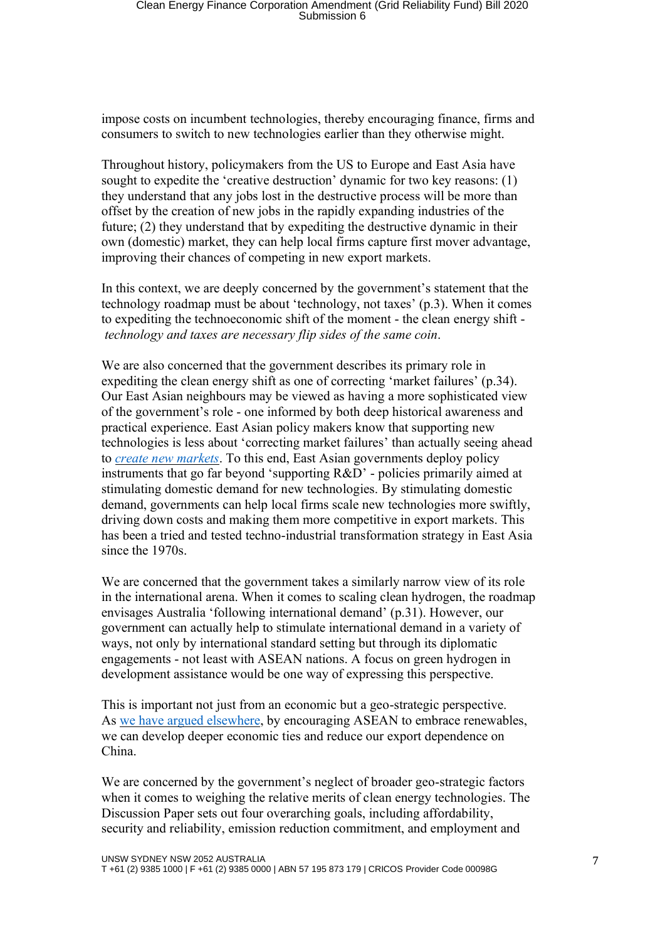impose costs on incumbent technologies, thereby encouraging finance, firms and consumers to switch to new technologies earlier than they otherwise might.

Throughout history, policymakers from the US to Europe and East Asia have sought to expedite the 'creative destruction' dynamic for two key reasons: (1) they understand that any jobs lost in the destructive process will be more than offset by the creation of new jobs in the rapidly expanding industries of the future; (2) they understand that by expediting the destructive dynamic in their own (domestic) market, they can help local firms capture first mover advantage, improving their chances of competing in new export markets.

In this context, we are deeply concerned by the government's statement that the technology roadmap must be about 'technology, not taxes' (p.3). When it comes to expediting the technoeconomic shift of the moment - the clean energy shift *technology and taxes are necessary flip sides of the same coin*.

We are also concerned that the government describes its primary role in expediting the clean energy shift as one of correcting 'market failures' (p.34). Our East Asian neighbours may be viewed as having a more sophisticated view of the government's role - one informed by both deep historical awareness and practical experience. East Asian policy makers know that supporting new technologies is less about 'correcting market failures' than actually seeing ahead to *create new [markets](https://www.tandfonline.com/doi/abs/10.1080/09692290.2019.1655084)*. To this end, East Asian governments deploy policy instruments that go far beyond 'supporting R&D' - policies primarily aimed at stimulating domestic demand for new technologies. By stimulating domestic demand, governments can help local firms scale new technologies more swiftly, driving down costs and making them more competitive in export markets. This has been a tried and tested techno-industrial transformation strategy in East Asia since the 1970s.

We are concerned that the government takes a similarly narrow view of its role in the international arena. When it comes to scaling clean hydrogen, the roadmap envisages Australia 'following international demand' (p.31). However, our government can actually help to stimulate international demand in a variety of ways, not only by international standard setting but through its diplomatic engagements - not least with ASEAN nations. A focus on green hydrogen in development assistance would be one way of expressing this perspective.

This is important not just from an economic but a geo-strategic perspective. As we have argued [elsewhere,](https://www.eastasiaforum.org/2019/12/18/grand-opportunities-for-australias-hydrogen-industry-and-for-a-strategic-regional-rebalancing/) by encouraging ASEAN to embrace renewables, we can develop deeper economic ties and reduce our export dependence on China.

We are concerned by the government's neglect of broader geo-strategic factors when it comes to weighing the relative merits of clean energy technologies. The Discussion Paper sets out four overarching goals, including affordability, security and reliability, emission reduction commitment, and employment and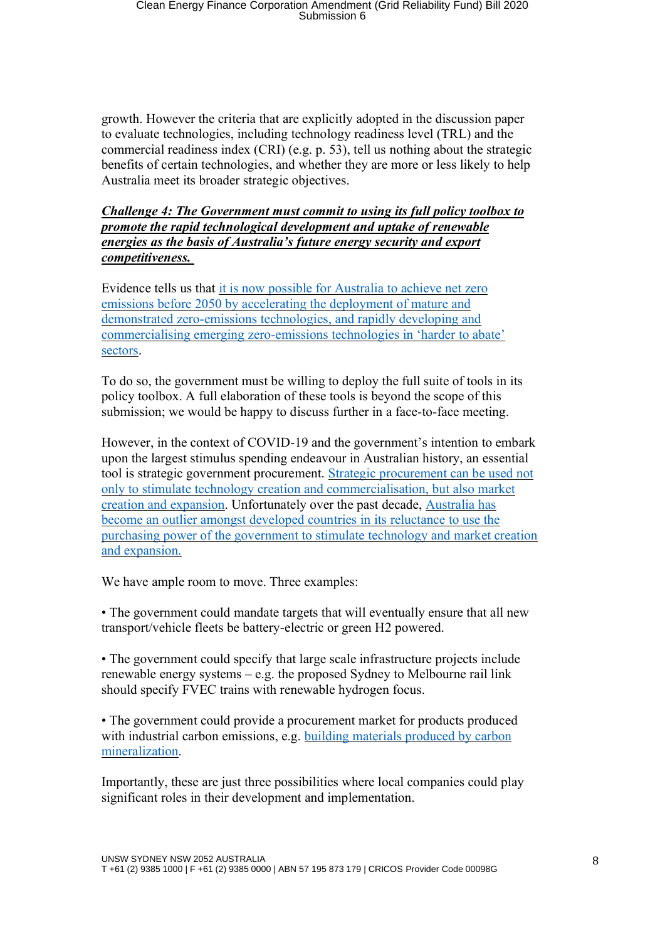growth. However the criteria that are explicitly adopted in the discussion paper to evaluate technologies, including technology readiness level (TRL) and the commercial readiness index (CRI) (e.g. p. 53), tell us nothing about the strategic benefits of certain technologies, and whether they are more or less likely to help Australia meet its broader strategic objectives.

*Challenge 4: The Government must commit to using its full policy toolbox to promote the rapid technological development and uptake of renewable energies as the basis of Australia's future energy security and export competitiveness.*

Evidence tells us that it is now possible for [Australia](https://www.climateworksaustralia.org/resource/decarbonisation-futures-solutions-actions-and-benchmarks-for-a-net-zero-emissions-australia/) to achieve net zero emissions before 2050 by [accelerating](https://www.climateworksaustralia.org/resource/decarbonisation-futures-solutions-actions-and-benchmarks-for-a-net-zero-emissions-australia/) the deployment of mature and demonstrated [zero-emissions](https://www.climateworksaustralia.org/resource/decarbonisation-futures-solutions-actions-and-benchmarks-for-a-net-zero-emissions-australia/) technologies, and rapidly developing and [commercialising](https://www.climateworksaustralia.org/resource/decarbonisation-futures-solutions-actions-and-benchmarks-for-a-net-zero-emissions-australia/) emerging zero-emissions technologies in 'harder to abate' [sectors.](https://www.climateworksaustralia.org/resource/decarbonisation-futures-solutions-actions-and-benchmarks-for-a-net-zero-emissions-australia/)

To do so, the government must be willing to deploy the full suite of tools in its policy toolbox. A full elaboration of these tools is beyond the scope of this submission; we would be happy to discuss further in a face-to-face meeting.

However, in the context of COVID-19 and the government's intention to embark upon the largest stimulus spending endeavour in Australian history, an essential tool is strategic government procurement. Strategic [procurement](https://www.springer.com/gp/book/9783642402579) can be used not only to stimulate technology creation and [commercialisation,](https://www.springer.com/gp/book/9783642402579) but also market creation and [expansion.](https://www.springer.com/gp/book/9783642402579) Unfortunately over the past decade, [Australia](https://www.tandfonline.com/doi/abs/10.1080/10357718.2015.1048780?journalCode=caji20) has become an outlier amongst [developed](https://www.tandfonline.com/doi/abs/10.1080/10357718.2015.1048780?journalCode=caji20) countries in its reluctance to use the purchasing power of the [government](https://www.tandfonline.com/doi/abs/10.1080/10357718.2015.1048780?journalCode=caji20) to stimulate technology and market creation and [expansion.](https://www.tandfonline.com/doi/abs/10.1080/10357718.2015.1048780?journalCode=caji20) 

We have ample room to move. Three examples:

• The government could mandate targets that will eventually ensure that all new transport/vehicle fleets be battery-electric or green H2 powered.

• The government could specify that large scale infrastructure projects include renewable energy systems – e.g. the proposed Sydney to Melbourne rail link should specify FVEC trains with renewable hydrogen focus.

• The government could provide a procurement market for products produced with industrial carbon emissions, e.g. building materials [produced](https://www.mineralcarbonation.com/) by carbon [mineralization.](https://www.mineralcarbonation.com/)

Importantly, these are just three possibilities where local companies could play significant roles in their development and implementation.